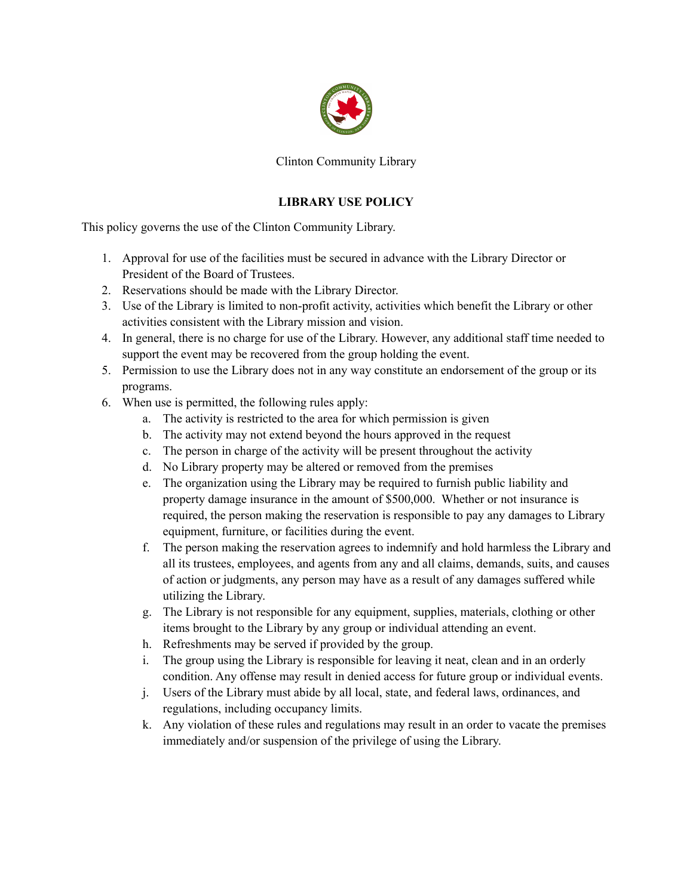

Clinton Community Library

## **LIBRARY USE POLICY**

This policy governs the use of the Clinton Community Library.

- 1. Approval for use of the facilities must be secured in advance with the Library Director or President of the Board of Trustees.
- 2. Reservations should be made with the Library Director.
- 3. Use of the Library is limited to non-profit activity, activities which benefit the Library or other activities consistent with the Library mission and vision.
- 4. In general, there is no charge for use of the Library. However, any additional staff time needed to support the event may be recovered from the group holding the event.
- 5. Permission to use the Library does not in any way constitute an endorsement of the group or its programs.
- 6. When use is permitted, the following rules apply:
	- a. The activity is restricted to the area for which permission is given
	- b. The activity may not extend beyond the hours approved in the request
	- c. The person in charge of the activity will be present throughout the activity
	- d. No Library property may be altered or removed from the premises
	- e. The organization using the Library may be required to furnish public liability and property damage insurance in the amount of \$500,000. Whether or not insurance is required, the person making the reservation is responsible to pay any damages to Library equipment, furniture, or facilities during the event.
	- f. The person making the reservation agrees to indemnify and hold harmless the Library and all its trustees, employees, and agents from any and all claims, demands, suits, and causes of action or judgments, any person may have as a result of any damages suffered while utilizing the Library.
	- g. The Library is not responsible for any equipment, supplies, materials, clothing or other items brought to the Library by any group or individual attending an event.
	- h. Refreshments may be served if provided by the group.
	- i. The group using the Library is responsible for leaving it neat, clean and in an orderly condition. Any offense may result in denied access for future group or individual events.
	- j. Users of the Library must abide by all local, state, and federal laws, ordinances, and regulations, including occupancy limits.
	- k. Any violation of these rules and regulations may result in an order to vacate the premises immediately and/or suspension of the privilege of using the Library.